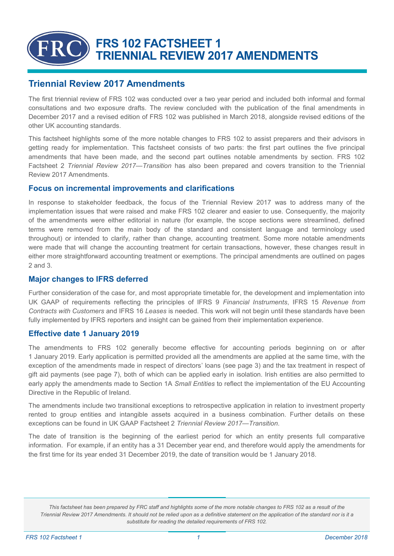# **FRS 102 FACTSHEET 1 TRIENNIAL REVIEW 2017 AMENDMENTS**

# **Triennial Review 2017 Amendments**

The first triennial review of FRS 102 was conducted over a two year period and included both informal and formal consultations and two exposure drafts. The review concluded with the publication of the final [amendments i](https://www.frc.org.uk/getattachment/9be202ba-351d-4e38-9d09-1982cb20d666/Amendments-to-FRS-102-Triennial-Review-2017-(Dec-2017).pdf)n December 2017 and a revised edition of FRS 102 was published in March 2018, alongside revised editions of the other UK accounting standards.

This factsheet highlights some of the more notable changes to FRS 102 to assist preparers and their advisors in getting ready for implementation. This factsheet consists of two parts: the first part outlines the five principal amendments that have been made, and the second part outlines notable amendments by section. FRS 102 Factsheet 2 *Triennial Review 2017—Transition* has also been prepared and covers transition to the Triennial Review 2017 Amendments.

## **Focus on incremental improvements and clarifications**

In response to stakeholder feedback, the focus of the Triennial Review 2017 was to address many of the implementation issues that were raised and make FRS 102 clearer and easier to use. Consequently, the majority of the amendments were either editorial in nature (for example, the scope sections were streamlined, defined terms were removed from the main body of the standard and consistent language and terminology used throughout) or intended to clarify, rather than change, accounting treatment. Some more notable amendments were made that will change the accounting treatment for certain transactions, however, these changes result in either more straightforward accounting treatment or exemptions. The principal amendments are outlined on pages 2 and 3.

### **Major changes to IFRS deferred**

Further consideration of the case for, and most appropriate timetable for, the development and implementation into UK GAAP of requirements reflecting the principles of IFRS 9 *Financial Instruments*, IFRS 15 *Revenue from Contracts with Customers* and IFRS 16 *Leases* is needed. This work will not begin until these standards have been fully implemented by IFRS reporters and insight can be gained from their implementation experience.

### **Effective date 1 January 2019**

The amendments to FRS 102 generally become effective for accounting periods beginning on or after 1 January 2019. Early application is permitted provided all the amendments are applied at the same time, with the exception of the amendments made in respect of directors' loans (see page 3) and the tax treatment in respect of gift aid payments (see page 7), both of which can be applied early in isolation. Irish entities are also permitted to early apply the amendments made to Section 1A *Small Entities* to reflect the implementation of the EU Accounting Directive in the Republic of Ireland.

The amendments include two transitional exceptions to retrospective application in relation to investment property rented to group entities and intangible assets acquired in a business combination. Further details on these exceptions can be found in UK GAAP Factsheet 2 *Triennial Review 2017—Transition*.

The date of transition is the beginning of the earliest period for which an entity presents full comparative information. For example, if an entity has a 31 December year end, and therefore would apply the amendments for the first time for its year ended 31 December 2019, the date of transition would be 1 January 2018.

*This factsheet has been prepared by FRC staff and highlights some of the more notable changes to FRS 102 as a result of the Triennial Review 2017 Amendments. It should not be relied upon as a definitive statement on the application of the standard nor is it a substitute for reading the detailed requirements of FRS 102.*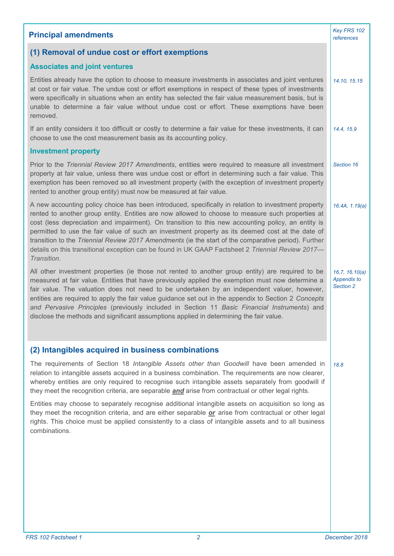| <b>Principal amendments</b>                                                                                                                                                                                                                                                                                                                                                                                                                                                                                                                                                                                                                   | Key FRS 102<br>references                         |
|-----------------------------------------------------------------------------------------------------------------------------------------------------------------------------------------------------------------------------------------------------------------------------------------------------------------------------------------------------------------------------------------------------------------------------------------------------------------------------------------------------------------------------------------------------------------------------------------------------------------------------------------------|---------------------------------------------------|
| (1) Removal of undue cost or effort exemptions                                                                                                                                                                                                                                                                                                                                                                                                                                                                                                                                                                                                |                                                   |
| <b>Associates and joint ventures</b>                                                                                                                                                                                                                                                                                                                                                                                                                                                                                                                                                                                                          |                                                   |
| Entities already have the option to choose to measure investments in associates and joint ventures<br>at cost or fair value. The undue cost or effort exemptions in respect of these types of investments<br>were specifically in situations when an entity has selected the fair value measurement basis, but is<br>unable to determine a fair value without undue cost or effort. These exemptions have been<br>removed.                                                                                                                                                                                                                    | 14.10, 15.15                                      |
| If an entity considers it too difficult or costly to determine a fair value for these investments, it can<br>choose to use the cost measurement basis as its accounting policy.                                                                                                                                                                                                                                                                                                                                                                                                                                                               | 14.4, 15.9                                        |
| <b>Investment property</b>                                                                                                                                                                                                                                                                                                                                                                                                                                                                                                                                                                                                                    |                                                   |
| Prior to the Triennial Review 2017 Amendments, entities were required to measure all investment<br>property at fair value, unless there was undue cost or effort in determining such a fair value. This<br>exemption has been removed so all investment property (with the exception of investment property<br>rented to another group entity) must now be measured at fair value.                                                                                                                                                                                                                                                            | Section 16                                        |
| A new accounting policy choice has been introduced, specifically in relation to investment property<br>rented to another group entity. Entities are now allowed to choose to measure such properties at<br>cost (less depreciation and impairment). On transition to this new accounting policy, an entity is<br>permitted to use the fair value of such an investment property as its deemed cost at the date of<br>transition to the Triennial Review 2017 Amendments (ie the start of the comparative period). Further<br>details on this transitional exception can be found in UK GAAP Factsheet 2 Triennial Review 2017-<br>Transition. | 16.4A, 1.19(a)                                    |
| All other investment properties (ie those not rented to another group entity) are required to be<br>measured at fair value. Entities that have previously applied the exemption must now determine a<br>fair value. The valuation does not need to be undertaken by an independent valuer, however,<br>entities are required to apply the fair value guidance set out in the appendix to Section 2 Concepts<br>and Pervasive Principles (previously included in Section 11 Basic Financial Instruments) and<br>disclose the methods and significant assumptions applied in determining the fair value.                                        | 16.7, 16.10(a)<br><b>Appendix to</b><br>Section 2 |
| (2) Intangibles acquired in business combinations                                                                                                                                                                                                                                                                                                                                                                                                                                                                                                                                                                                             |                                                   |
| The requirements of Section 18 Intangible Assets other than Goodwill have been amended in<br>relation to intangible assets acquired in a business combination. The requirements are now clearer,<br>whereby entities are only required to recognise such intangible assets separately from goodwill if<br>they meet the recognition criteria, are separable <b>and</b> arise from contractual or other legal rights.                                                                                                                                                                                                                          | 18.8                                              |
| Entities may choose to separately recognise additional intangible assets on acquisition so long as<br>they meet the recognition criteria, and are either separable or arise from contractual or other legal<br>rights. This choice must be applied consistently to a class of intangible assets and to all business<br>combinations.                                                                                                                                                                                                                                                                                                          |                                                   |
|                                                                                                                                                                                                                                                                                                                                                                                                                                                                                                                                                                                                                                               |                                                   |
|                                                                                                                                                                                                                                                                                                                                                                                                                                                                                                                                                                                                                                               |                                                   |
|                                                                                                                                                                                                                                                                                                                                                                                                                                                                                                                                                                                                                                               |                                                   |
|                                                                                                                                                                                                                                                                                                                                                                                                                                                                                                                                                                                                                                               |                                                   |
|                                                                                                                                                                                                                                                                                                                                                                                                                                                                                                                                                                                                                                               |                                                   |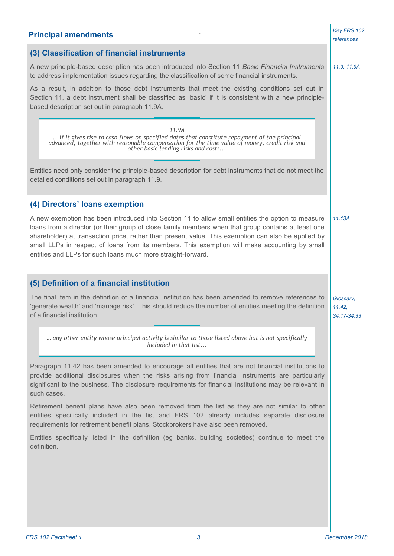| <b>Principal amendments</b>                                                                                                                                                                                                                                                                                                                                                                                                                                                      | Key FRS 102<br>references          |
|----------------------------------------------------------------------------------------------------------------------------------------------------------------------------------------------------------------------------------------------------------------------------------------------------------------------------------------------------------------------------------------------------------------------------------------------------------------------------------|------------------------------------|
| (3) Classification of financial instruments                                                                                                                                                                                                                                                                                                                                                                                                                                      |                                    |
| A new principle-based description has been introduced into Section 11 Basic Financial Instruments<br>to address implementation issues regarding the classification of some financial instruments.                                                                                                                                                                                                                                                                                | 11.9, 11.9A                        |
| As a result, in addition to those debt instruments that meet the existing conditions set out in<br>Section 11, a debt instrument shall be classified as 'basic' if it is consistent with a new principle-<br>based description set out in paragraph 11.9A.                                                                                                                                                                                                                       |                                    |
| 11.9A<br>if it gives rise to cash flows on specified dates that constitute repayment of the principal<br>advanced, together with reasonable compensation for the time value of money, credit risk and other basic lending risks and costs                                                                                                                                                                                                                                        |                                    |
| Entities need only consider the principle-based description for debt instruments that do not meet the<br>detailed conditions set out in paragraph 11.9.                                                                                                                                                                                                                                                                                                                          |                                    |
| (4) Directors' loans exemption                                                                                                                                                                                                                                                                                                                                                                                                                                                   |                                    |
| A new exemption has been introduced into Section 11 to allow small entities the option to measure<br>loans from a director (or their group of close family members when that group contains at least one<br>shareholder) at transaction price, rather than present value. This exemption can also be applied by<br>small LLPs in respect of loans from its members. This exemption will make accounting by small<br>entities and LLPs for such loans much more straight-forward. | 11.13A                             |
| (5) Definition of a financial institution                                                                                                                                                                                                                                                                                                                                                                                                                                        |                                    |
| The final item in the definition of a financial institution has been amended to remove references to<br>'generate wealth' and 'manage risk'. This should reduce the number of entities meeting the definition<br>of a financial institution.                                                                                                                                                                                                                                     | Glossary,<br>11.42.<br>34.17-34.33 |
| any other entity whose principal activity is similar to those listed above but is not specifically<br>included in that list                                                                                                                                                                                                                                                                                                                                                      |                                    |
| Paragraph 11.42 has been amended to encourage all entities that are not financial institutions to<br>provide additional disclosures when the risks arising from financial instruments are particularly<br>significant to the business. The disclosure requirements for financial institutions may be relevant in<br>such cases.                                                                                                                                                  |                                    |
| Retirement benefit plans have also been removed from the list as they are not similar to other<br>entities specifically included in the list and FRS 102 already includes separate disclosure<br>requirements for retirement benefit plans. Stockbrokers have also been removed.                                                                                                                                                                                                 |                                    |
| Entities specifically listed in the definition (eg banks, building societies) continue to meet the<br>definition.                                                                                                                                                                                                                                                                                                                                                                |                                    |
|                                                                                                                                                                                                                                                                                                                                                                                                                                                                                  |                                    |
|                                                                                                                                                                                                                                                                                                                                                                                                                                                                                  |                                    |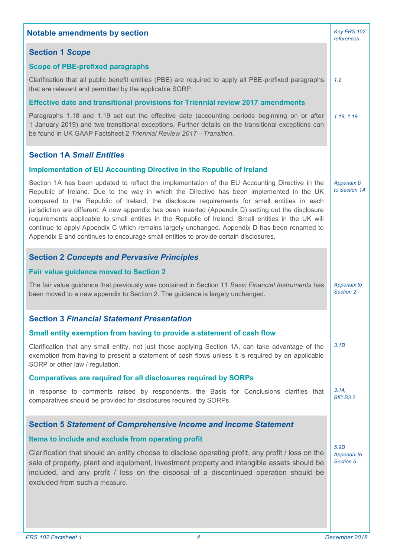| <b>Notable amendments by section</b>                                                                                                                                                                                                                                                                                                                                                                                                                                                                                                                                                                                                                                                               | Key FRS 102<br>references          |
|----------------------------------------------------------------------------------------------------------------------------------------------------------------------------------------------------------------------------------------------------------------------------------------------------------------------------------------------------------------------------------------------------------------------------------------------------------------------------------------------------------------------------------------------------------------------------------------------------------------------------------------------------------------------------------------------------|------------------------------------|
| <b>Section 1 Scope</b>                                                                                                                                                                                                                                                                                                                                                                                                                                                                                                                                                                                                                                                                             |                                    |
| <b>Scope of PBE-prefixed paragraphs</b>                                                                                                                                                                                                                                                                                                                                                                                                                                                                                                                                                                                                                                                            |                                    |
| Clarification that all public benefit entities (PBE) are required to apply all PBE-prefixed paragraphs<br>that are relevant and permitted by the applicable SORP.                                                                                                                                                                                                                                                                                                                                                                                                                                                                                                                                  | 1.2                                |
| <b>Effective date and transitional provisions for Triennial review 2017 amendments</b>                                                                                                                                                                                                                                                                                                                                                                                                                                                                                                                                                                                                             |                                    |
| Paragraphs 1.18 and 1.19 set out the effective date (accounting periods beginning on or after<br>1 January 2019) and two transitional exceptions. Further details on the transitional exceptions can<br>be found in UK GAAP Factsheet 2 Triennial Review 2017-Transition.                                                                                                                                                                                                                                                                                                                                                                                                                          | 1.18, 1.19                         |
| <b>Section 1A Small Entities</b>                                                                                                                                                                                                                                                                                                                                                                                                                                                                                                                                                                                                                                                                   |                                    |
| <b>Implementation of EU Accounting Directive in the Republic of Ireland</b>                                                                                                                                                                                                                                                                                                                                                                                                                                                                                                                                                                                                                        |                                    |
| Section 1A has been updated to reflect the implementation of the EU Accounting Directive in the<br>Republic of Ireland. Due to the way in which the Directive has been implemented in the UK<br>compared to the Republic of Ireland, the disclosure requirements for small entities in each<br>jurisdiction are different. A new appendix has been inserted (Appendix D) setting out the disclosure<br>requirements applicable to small entities in the Republic of Ireland. Small entities in the UK will<br>continue to apply Appendix C which remains largely unchanged. Appendix D has been renamed to<br>Appendix E and continues to encourage small entities to provide certain disclosures. | <b>Appendix D</b><br>to Section 1A |
| <b>Section 2 Concepts and Pervasive Principles</b>                                                                                                                                                                                                                                                                                                                                                                                                                                                                                                                                                                                                                                                 |                                    |
| <b>Fair value guidance moved to Section 2</b>                                                                                                                                                                                                                                                                                                                                                                                                                                                                                                                                                                                                                                                      |                                    |
| The fair value guidance that previously was contained in Section 11 Basic Financial Instruments has<br>been moved to a new appendix to Section 2. The guidance is largely unchanged.                                                                                                                                                                                                                                                                                                                                                                                                                                                                                                               | Appendix to<br>Section 2           |
| <b>Section 3 Financial Statement Presentation</b>                                                                                                                                                                                                                                                                                                                                                                                                                                                                                                                                                                                                                                                  |                                    |
| Small entity exemption from having to provide a statement of cash flow                                                                                                                                                                                                                                                                                                                                                                                                                                                                                                                                                                                                                             |                                    |
| Clarification that any small entity, not just those applying Section 1A, can take advantage of the<br>exemption from having to present a statement of cash flows unless it is required by an applicable<br>SORP or other law / regulation.                                                                                                                                                                                                                                                                                                                                                                                                                                                         | 3.1B                               |
| <b>Comparatives are required for all disclosures required by SORPs</b>                                                                                                                                                                                                                                                                                                                                                                                                                                                                                                                                                                                                                             |                                    |
| In response to comments raised by respondents, the Basis for Conclusions clarifies that<br>comparatives should be provided for disclosures required by SORPs.                                                                                                                                                                                                                                                                                                                                                                                                                                                                                                                                      | 3.14.<br><b>BfC B3.2</b>           |
| <b>Section 5 Statement of Comprehensive Income and Income Statement</b>                                                                                                                                                                                                                                                                                                                                                                                                                                                                                                                                                                                                                            |                                    |
| Items to include and exclude from operating profit                                                                                                                                                                                                                                                                                                                                                                                                                                                                                                                                                                                                                                                 |                                    |
| Clarification that should an entity choose to disclose operating profit, any profit / loss on the<br>sale of property, plant and equipment, investment property and intangible assets should be<br>included, and any profit / loss on the disposal of a discontinued operation should be<br>excluded from such a measure.                                                                                                                                                                                                                                                                                                                                                                          | 5.9B<br>Appendix to<br>Section 5   |
|                                                                                                                                                                                                                                                                                                                                                                                                                                                                                                                                                                                                                                                                                                    |                                    |
|                                                                                                                                                                                                                                                                                                                                                                                                                                                                                                                                                                                                                                                                                                    |                                    |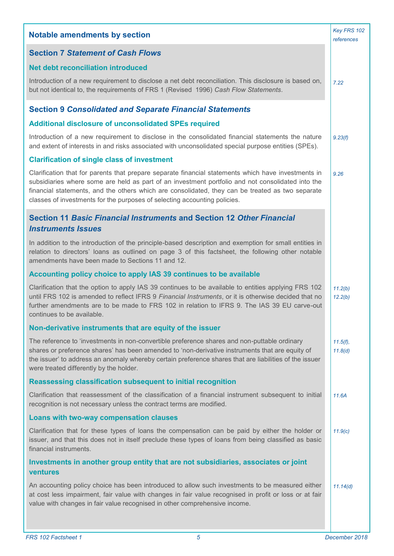| <b>Notable amendments by section</b>                                                                                                                                                                                                                                                                                                                                                      | Key FRS 102<br>references |
|-------------------------------------------------------------------------------------------------------------------------------------------------------------------------------------------------------------------------------------------------------------------------------------------------------------------------------------------------------------------------------------------|---------------------------|
| <b>Section 7 Statement of Cash Flows</b>                                                                                                                                                                                                                                                                                                                                                  |                           |
| <b>Net debt reconciliation introduced</b>                                                                                                                                                                                                                                                                                                                                                 |                           |
| Introduction of a new requirement to disclose a net debt reconciliation. This disclosure is based on,<br>but not identical to, the requirements of FRS 1 (Revised 1996) Cash Flow Statements.                                                                                                                                                                                             | 7.22                      |
| <b>Section 9 Consolidated and Separate Financial Statements</b>                                                                                                                                                                                                                                                                                                                           |                           |
| Additional disclosure of unconsolidated SPEs required                                                                                                                                                                                                                                                                                                                                     |                           |
| Introduction of a new requirement to disclose in the consolidated financial statements the nature<br>and extent of interests in and risks associated with unconsolidated special purpose entities (SPEs).                                                                                                                                                                                 | 9.23(f)                   |
| <b>Clarification of single class of investment</b>                                                                                                                                                                                                                                                                                                                                        |                           |
| Clarification that for parents that prepare separate financial statements which have investments in<br>subsidiaries where some are held as part of an investment portfolio and not consolidated into the<br>financial statements, and the others which are consolidated, they can be treated as two separate<br>classes of investments for the purposes of selecting accounting policies. | 9.26                      |
| Section 11 Basic Financial Instruments and Section 12 Other Financial<br><b>Instruments Issues</b>                                                                                                                                                                                                                                                                                        |                           |
| In addition to the introduction of the principle-based description and exemption for small entities in<br>relation to directors' loans as outlined on page 3 of this factsheet, the following other notable<br>amendments have been made to Sections 11 and 12.                                                                                                                           |                           |
| Accounting policy choice to apply IAS 39 continues to be available                                                                                                                                                                                                                                                                                                                        |                           |
| Clarification that the option to apply IAS 39 continues to be available to entities applying FRS 102<br>until FRS 102 is amended to reflect IFRS 9 Financial Instruments, or it is otherwise decided that no<br>further amendments are to be made to FRS 102 in relation to IFRS 9. The IAS 39 EU carve-out<br>continues to be available.                                                 | 11.2(b)<br>12.2(b)        |
| Non-derivative instruments that are equity of the issuer                                                                                                                                                                                                                                                                                                                                  |                           |
| The reference to 'investments in non-convertible preference shares and non-puttable ordinary<br>shares or preference shares' has been amended to 'non-derivative instruments that are equity of<br>the issuer' to address an anomaly whereby certain preference shares that are liabilities of the issuer<br>were treated differently by the holder.                                      | $11.5(f)$ ,<br>11.8(d)    |
| <b>Reassessing classification subsequent to initial recognition</b>                                                                                                                                                                                                                                                                                                                       |                           |
| Clarification that reassessment of the classification of a financial instrument subsequent to initial<br>recognition is not necessary unless the contract terms are modified.                                                                                                                                                                                                             | 11.6A                     |
| Loans with two-way compensation clauses                                                                                                                                                                                                                                                                                                                                                   |                           |
| Clarification that for these types of loans the compensation can be paid by either the holder or<br>issuer, and that this does not in itself preclude these types of loans from being classified as basic<br>financial instruments.                                                                                                                                                       | 11.9(c)                   |
| Investments in another group entity that are not subsidiaries, associates or joint<br>ventures                                                                                                                                                                                                                                                                                            |                           |
| An accounting policy choice has been introduced to allow such investments to be measured either<br>at cost less impairment, fair value with changes in fair value recognised in profit or loss or at fair<br>value with changes in fair value recognised in other comprehensive income.                                                                                                   | 11.14(d)                  |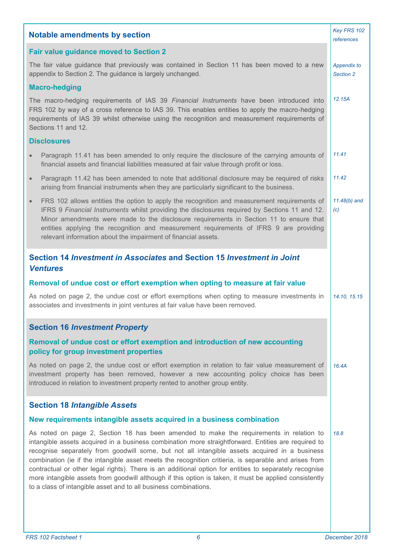| <b>Notable amendments by section</b>                                                                                                                                                                                                                                                                                                                                                                                                                                                                                                                                                                                                                                                             | Key FRS 102<br>references       |
|--------------------------------------------------------------------------------------------------------------------------------------------------------------------------------------------------------------------------------------------------------------------------------------------------------------------------------------------------------------------------------------------------------------------------------------------------------------------------------------------------------------------------------------------------------------------------------------------------------------------------------------------------------------------------------------------------|---------------------------------|
| <b>Fair value guidance moved to Section 2</b>                                                                                                                                                                                                                                                                                                                                                                                                                                                                                                                                                                                                                                                    |                                 |
| The fair value guidance that previously was contained in Section 11 has been moved to a new<br>appendix to Section 2. The guidance is largely unchanged.                                                                                                                                                                                                                                                                                                                                                                                                                                                                                                                                         | <b>Appendix to</b><br>Section 2 |
| <b>Macro-hedging</b>                                                                                                                                                                                                                                                                                                                                                                                                                                                                                                                                                                                                                                                                             |                                 |
| The macro-hedging requirements of IAS 39 Financial Instruments have been introduced into<br>FRS 102 by way of a cross reference to IAS 39. This enables entities to apply the macro-hedging<br>requirements of IAS 39 whilst otherwise using the recognition and measurement requirements of<br>Sections 11 and 12.                                                                                                                                                                                                                                                                                                                                                                              | 12.15A                          |
| <b>Disclosures</b>                                                                                                                                                                                                                                                                                                                                                                                                                                                                                                                                                                                                                                                                               |                                 |
| Paragraph 11.41 has been amended to only require the disclosure of the carrying amounts of<br>$\bullet$<br>financial assets and financial liabilities measured at fair value through profit or loss.                                                                                                                                                                                                                                                                                                                                                                                                                                                                                             | 11.41                           |
| Paragraph 11.42 has been amended to note that additional disclosure may be required of risks<br>$\bullet$<br>arising from financial instruments when they are particularly significant to the business.                                                                                                                                                                                                                                                                                                                                                                                                                                                                                          | 11.42                           |
| FRS 102 allows entities the option to apply the recognition and measurement requirements of<br>$\bullet$<br>IFRS 9 Financial Instruments whilst providing the disclosures required by Sections 11 and 12.<br>Minor amendments were made to the disclosure requirements in Section 11 to ensure that<br>entities applying the recognition and measurement requirements of IFRS 9 are providing<br>relevant information about the impairment of financial assets.                                                                                                                                                                                                                                  | $11.48(b)$ and<br>(c)           |
| Section 14 Investment in Associates and Section 15 Investment in Joint<br><b>Ventures</b>                                                                                                                                                                                                                                                                                                                                                                                                                                                                                                                                                                                                        |                                 |
| Removal of undue cost or effort exemption when opting to measure at fair value                                                                                                                                                                                                                                                                                                                                                                                                                                                                                                                                                                                                                   |                                 |
| As noted on page 2, the undue cost or effort exemptions when opting to measure investments in<br>associates and investments in joint ventures at fair value have been removed.                                                                                                                                                                                                                                                                                                                                                                                                                                                                                                                   | 14.10, 15.15                    |
| <b>Section 16 Investment Property</b>                                                                                                                                                                                                                                                                                                                                                                                                                                                                                                                                                                                                                                                            |                                 |
| Removal of undue cost or effort exemption and introduction of new accounting<br>policy for group investment properties                                                                                                                                                                                                                                                                                                                                                                                                                                                                                                                                                                           |                                 |
| As noted on page 2, the undue cost or effort exemption in relation to fair value measurement of<br>investment property has been removed, however a new accounting policy choice has been<br>introduced in relation to investment property rented to another group entity.                                                                                                                                                                                                                                                                                                                                                                                                                        | 16.4A                           |
| <b>Section 18 Intangible Assets</b>                                                                                                                                                                                                                                                                                                                                                                                                                                                                                                                                                                                                                                                              |                                 |
| New requirements intangible assets acquired in a business combination                                                                                                                                                                                                                                                                                                                                                                                                                                                                                                                                                                                                                            |                                 |
| As noted on page 2, Section 18 has been amended to make the requirements in relation to<br>intangible assets acquired in a business combination more straightforward. Entities are required to<br>recognise separately from goodwill some, but not all intangible assets acquired in a business<br>combination (ie if the intangible asset meets the recognition critieria, is separable and arises from<br>contractual or other legal rights). There is an additional option for entities to separately recognise<br>more intangible assets from goodwill although if this option is taken, it must be applied consistently<br>to a class of intangible asset and to all business combinations. | 18.8                            |
|                                                                                                                                                                                                                                                                                                                                                                                                                                                                                                                                                                                                                                                                                                  |                                 |